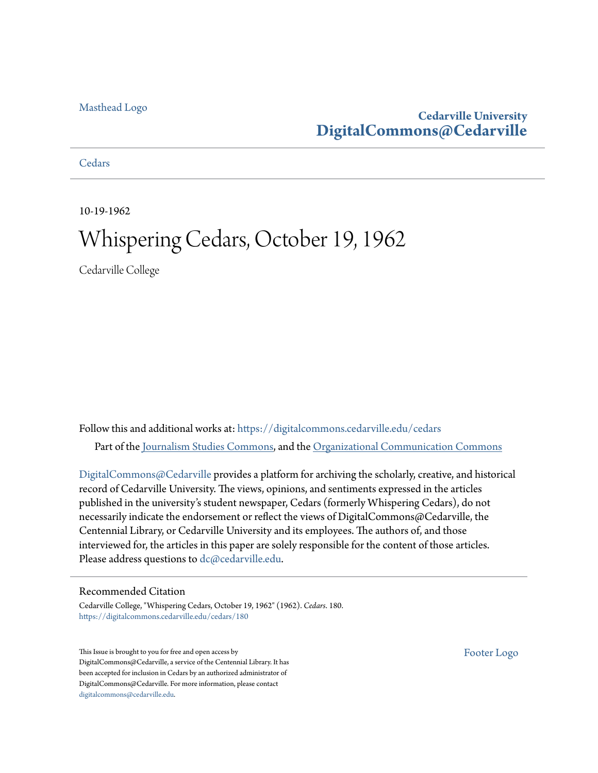# [Masthead Logo](http://www.cedarville.edu/?utm_source=digitalcommons.cedarville.edu%2Fcedars%2F180&utm_medium=PDF&utm_campaign=PDFCoverPages)

# **Cedarville University [DigitalCommons@Cedarville](https://digitalcommons.cedarville.edu?utm_source=digitalcommons.cedarville.edu%2Fcedars%2F180&utm_medium=PDF&utm_campaign=PDFCoverPages)**

**[Cedars](https://digitalcommons.cedarville.edu/cedars?utm_source=digitalcommons.cedarville.edu%2Fcedars%2F180&utm_medium=PDF&utm_campaign=PDFCoverPages)** 

10-19-1962

# Whispering Cedars, October 19, 1962

Cedarville College

Follow this and additional works at: [https://digitalcommons.cedarville.edu/cedars](https://digitalcommons.cedarville.edu/cedars?utm_source=digitalcommons.cedarville.edu%2Fcedars%2F180&utm_medium=PDF&utm_campaign=PDFCoverPages) Part of the [Journalism Studies Commons](http://network.bepress.com/hgg/discipline/333?utm_source=digitalcommons.cedarville.edu%2Fcedars%2F180&utm_medium=PDF&utm_campaign=PDFCoverPages), and the [Organizational Communication Commons](http://network.bepress.com/hgg/discipline/335?utm_source=digitalcommons.cedarville.edu%2Fcedars%2F180&utm_medium=PDF&utm_campaign=PDFCoverPages)

[DigitalCommons@Cedarville](http://digitalcommons.cedarville.edu/) provides a platform for archiving the scholarly, creative, and historical record of Cedarville University. The views, opinions, and sentiments expressed in the articles published in the university's student newspaper, Cedars (formerly Whispering Cedars), do not necessarily indicate the endorsement or reflect the views of DigitalCommons@Cedarville, the Centennial Library, or Cedarville University and its employees. The authors of, and those interviewed for, the articles in this paper are solely responsible for the content of those articles. Please address questions to [dc@cedarville.edu.](mailto:dc@cedarville.edu)

# Recommended Citation

Cedarville College, "Whispering Cedars, October 19, 1962" (1962). *Cedars*. 180. [https://digitalcommons.cedarville.edu/cedars/180](https://digitalcommons.cedarville.edu/cedars/180?utm_source=digitalcommons.cedarville.edu%2Fcedars%2F180&utm_medium=PDF&utm_campaign=PDFCoverPages)

This Issue is brought to you for free and open access by DigitalCommons@Cedarville, a service of the Centennial Library. It has been accepted for inclusion in Cedars by an authorized administrator of DigitalCommons@Cedarville. For more information, please contact [digitalcommons@cedarville.edu](mailto:digitalcommons@cedarville.edu).

[Footer Logo](http://www.cedarville.edu/Academics/Library.aspx?utm_source=digitalcommons.cedarville.edu%2Fcedars%2F180&utm_medium=PDF&utm_campaign=PDFCoverPages)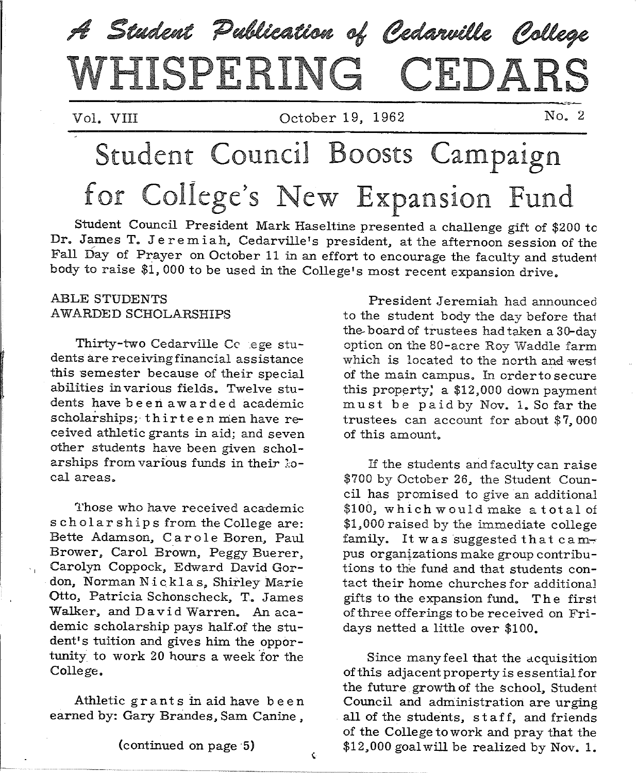

Vol. VIII October 19, 1962 No. 2

# Student Council Boosts Campaign for College's New Expansion Fund

Student Council President Mark Haseltine presented a challenge gift of \$200 tc Dr. James T. Jeremiah, Cedarville's president, at the afternoon session of the Fall Day of Prayer on October 11 in an effort to encourage the faculty and student body to raise \$1, 000 to be used in the College's most recent expansion drive.

#### ABLE STUDENTS AWARDED SCHOLARSHIPS

Thirty-two Cedarville Cc .ege students are receiving financial assistance this semester because of their special abilities in various fields. Twelve students have be en awarded academic scholarships; thirteen men have received athletic grants in aid; and seven other students have been given scholarships from various funds in their local areas.

1'hose who have received academic scholarships from the College are: Bette Adamson, Carole Boren, Paul Brower. Carol Brown, Peggy Buerer, Carolyn Coppock, Edward David Gordon, Norman Nicklas, Shirley Marie Otto, Patricia Schonscheck, T. James Walker, and David Warren. An academic scholarship pays half.of the student's tuition and gives him the opportunity to work 20 hours a week for the College.

Athletic grant s in aid have b e en earned by: Gary Brandes, Sam Canine ,

President Jeremiah had announced to the student body the day before that the- board of trustees had taken a 30-day option on the 80-acre Roy Waddle farm which is located to the north and west of the main campus. In order to secure this property; a  $$12,000$  down payment must be paid by Nov. 1. So far the trustees can account for about  $$7,000$ of this amount.

If the students and faculty can raise \$700 by October 26, the Student Council has promised to give an additional \$100, which would make a total of \$1,000 raised by the immediate college family. It was suggested that campus organizations make group contributions to the fund and that students contact their home churches for additiona] gifts to the expansion fund. The first of three offerings to be received on Fridays netted a little over \$100.

Since many feel that the acquisition of this adjacent property is essential for the future growth of the school, Student Council and administration are urging all of the students, staff, and friends of the College to work and pray that the \$12,000 goal will be realized by Nov. 1.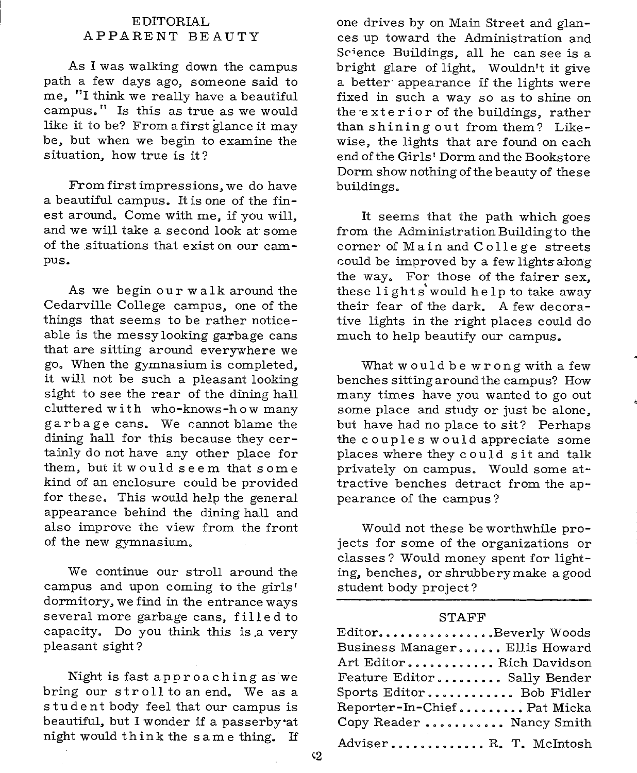#### EDITORIAL APPARENT BEAUTY

As I was walking down the campus path a few days ago, someone said to me, "I think we really have a beautiful campus." Is this as true as we would like it to be? From a first glance it may be, but when we begin to examine the situation, how true is it?

From first impressions, we do have <sup>a</sup>beautiful campus. It is one of the finest around. Come with me, if you will, and we will take a second look at· some of the situations that exist on our campus.

As we begin our walk around the Cedarville College campus, one of the things that seems to be rather noticeable is the messy looking garbage cans that are sitting around everywhere we go. When the gymnasium is completed, it will not be such a pleasant looking sight to see the rear of the dining hall cluttered with who-knows-how many garbage cans. We cannot blame the dining hall for this because they certainly do not have any other place for them, but it woulds <sup>e</sup>em thats om <sup>e</sup> kind of an enclosure could be provided for these. This would help the general appearance behind the dining hall and also improve the view from the front of the new gymnasium.

We continue our stroll around the campus and upon coming to the girls' dormitory, we find in the entrance ways several more garbage cans, filled to capacity. Do you think this is .a very pleasant sight?

Night is fast approaching as we bring our stroll to an end. We as <sup>a</sup> student body feel that our campus is beautiful, but I wonder if a passerby·at night would think the <sup>s</sup>am e thing. If one drives by on Main Street and glances up toward the Administration and Science Buildings, all he can see is <sup>a</sup> bright glare of light. Wouldn't it give a better appearance if the lights were fixed in such <sup>a</sup>way so as to shine on the exterior of the buildings, rather than shining out from them? Likewise, the lights that are found on each end of the Girls' Dorm and the Bookstore Dorm show nothing of the beauty of these buildings.

It seems that the path which goes from the Administration Building to the corner of Main and College streets could be improved by a few lights along the way. For those of the fairer sex, these lights'would help to take away their fear of the dark. A few decorative lights in the right places could do much to help beautify our campus.

What would be wrong with a few benches sitting around the campus? How many times have you wanted to go out some place and study or just be alone, but have had no place to sit? Perhaps the couples would appreciate some places where they could sit and talk privately on campus. Would some attractive benches detract from the appearance of the campus?

Would not these be worthwhile projects for some of the organizations or classes? Would money spent for lighting, benches, or shrubbery make a good student body project?

#### STAFF

| ${\rm Editor.} \dots \dots \dots \dots \dots {\rm Beverly\ Woods}$ |
|--------------------------------------------------------------------|
| Business Manager Ellis Howard                                      |
| Art EditorRich Davidson                                            |
| Feature Editor Sally Bender                                        |
| Sports Editor Bob Fidler                                           |
| Reporter-In-ChiefPat Micka                                         |
| Copy Reader  Nancy Smith                                           |
| AdviserR. T. McIntosh                                              |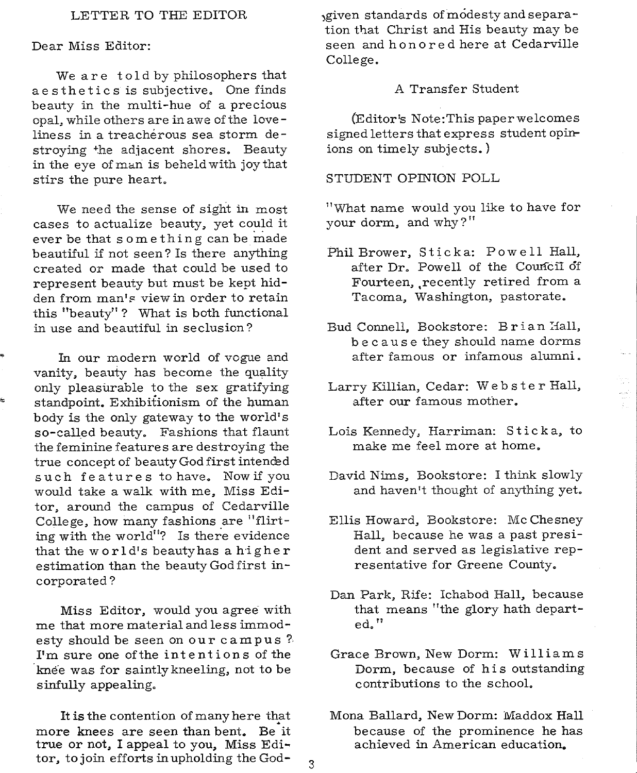#### LETTER TO THE EDITOR

#### Dear Miss Editor:

ŧ.

We are told by philosophers that aesthetics is subjective. One finds beauty in the multi-hue of a precious opal, while others are in awe of the love liness in a treachérous sea storm destroying +he adjacent shores. Beauty in the eye of man is beheld with joy that stirs the pure heart.

We need the sense of sight in most cases to actualize beauty, yet could it ever be that something can be made beautiful if not seen? Is there anything created or made that could be used to represent beauty but must be kept hidden from man's view in order to retain this "beauty"? What is both functional in use and beautiful in seclusion?

In our modern world of vogue and vanity, beauty has become the quality only pleasurable to the sex gratifying standpoint. Exhibitionism of the human body is the only gateway to the world's so-called beauty. Fashions that flaunt the feminine features are destroying the true concept of beauty God first intended such features to have. Now if you would take a walk with me, Miss Editor, around the campus of Cedarville College, how many fashions are "flirting with the world"? Is there evidence that the world's beautyhas a higher estimation than the beauty God first incorporated?

Miss Editor, would you agree with me that more material and less immodesty should be seen on our campus'?  $I<sup>i</sup>$  m sure one of the intentions of the knee was for saintly kneeling, not to be sinfully appealing.

It is the contention of many here that more knees are seen than bent. Be it true or not, I appeal to you, Miss Editor, to join efforts in upholding the God- $\frac{3}{3}$ 

)given standards of modesty and separation that Christ and His beauty may be seen and hon o re d here at Cedarville College.

#### A Transfer Student

(Editor's Note:This paper welcomes signed letters that express student opinions on timely subjects.)

#### STUDENT OPINION POLL

11 'What name would you like to have for your dorm, and why?"

- Phil Brower, Sticka: Powell Hall, after Dr. Powell of the Council of Fourteen, recently retired from a Tacoma, Washington, pastorate.
- Bud Connell, Bookstore: Brian Hall, b e ca us <sup>e</sup>they should name dorms after famous or infamous alumni.
- Larry Killian, Cedar: Webster Hall, after our famous mother.

in<br>El

- Lois Kennedy, Harriman: Stick a, to make me feel more at home.
- David Nims, Bookstore: I think slowly and haven't thought of anything yet.
- Ellis Howard, Bookstore: Mc Chesney Hall, because he was a past president and served as legislative representative for Greene County.
- Dan Park, Rife: Ichabod Hall, because that means "the glory hath departed."
- Grace Brown, New Dorm: Williams Dorm, because of his outstanding contributions to the school.
- Mona Ballard, New Dorm: Maddox Hall because of the prominence he has achieved in American education.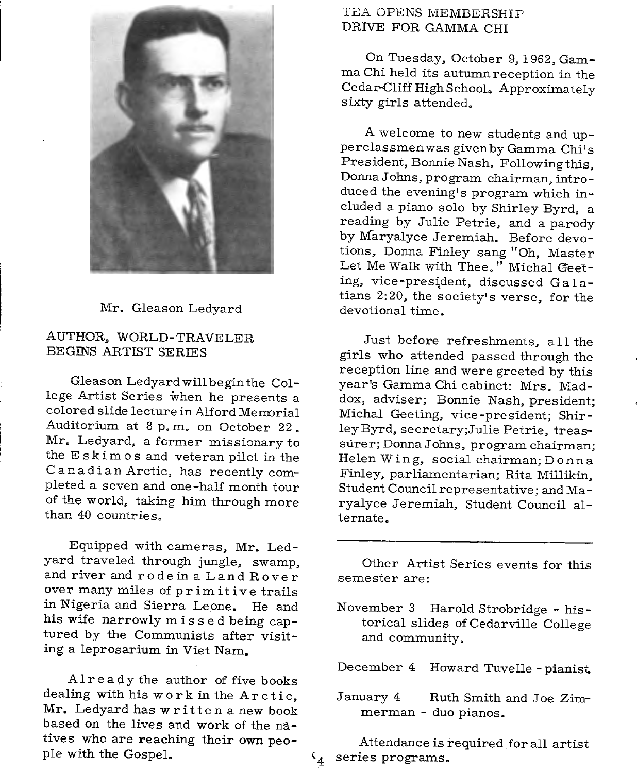

## Mr. Gleason Ledyard

# AUTHOR, WORLD-TRAVELER BEGINS ARTIST SERIES

Gleason Ledyardwillbeginthe College Artist Series when he presents <sup>a</sup> colored slide lecture in Alford Memorial Auditorium at 8 p.m. on October 22. Mr. Ledyard, a former missionary to the E skim o s and veteran pilot in the Canadian Arctic, has recently completed a seven and one-half month tour of the world, taking him through more than 40 countries.

Equipped with cameras, Mr. Ledyard traveled through jungle, swamp, and river and rode in a Land Rover over many miles of primitive trails in Nigeria and Sierra Leone. He and his wife narrowly missed being captured by the Communists after visiting a leprosarium in Viet Nam.

Already the author of five books dealing with his work in the Arctic, Mr. Ledyard has written <sup>a</sup>new book based on the lives and work of the natives who are reaching their own peo<sup>p</sup>le with the Gospel.

# TEA OPENS MEMBERSHIP DRIVE FOR GAMMA CHI

On Tuesday, October 9, 1962, Gamma Chi held its autumn reception in the Cedar-Cliff High School. Approximately sixty girls attended.

<sup>A</sup>welcome to new students and upperclassmen was given by Gamma Chi's President, Bonnie Nash. Following this, Donna Johns, program chairman, introduced the evening's program which included <sup>a</sup>piano solo by Shirley Byrd, <sup>a</sup> reading by Julie Petrie, and a parody by Maryalyce Jeremiah. Before devotions, Donna Finley sang "Oh, Master Let Me Walk with Thee." Michal Geeting, vice-president, discussed Galatians 2:20, the society's verse, for the devotional time.

Just before refreshments, a 11 the <sup>g</sup>irls who attended passed through the reception line and were greeted by this year's Gamma Chi cabinet: Mrs. Maddox, adviser; Bonnie Nash, president; Michal Geeting, vice-president; Shirley Byrd, secretary;Julie Petrie, treassurer; Donna Johns, program chairman; Helen W in g, social chairman; D on n a Finley, parliamentarian; Rita Millikin, Student Council representative; and Maryalyce Jeremiah, Student Council alternate.

Other Artist Series events for this semester are:

November 3 Harold Strobridge - his torical slides of Cedarville College and community.

December 4 Howard Tuvelle - <sup>p</sup>ianist

January 4 Ruth Smith and Joe Zimmerman - duo pianos.

Attendance is required for all artist  $\mathfrak{c}_4$  series programs.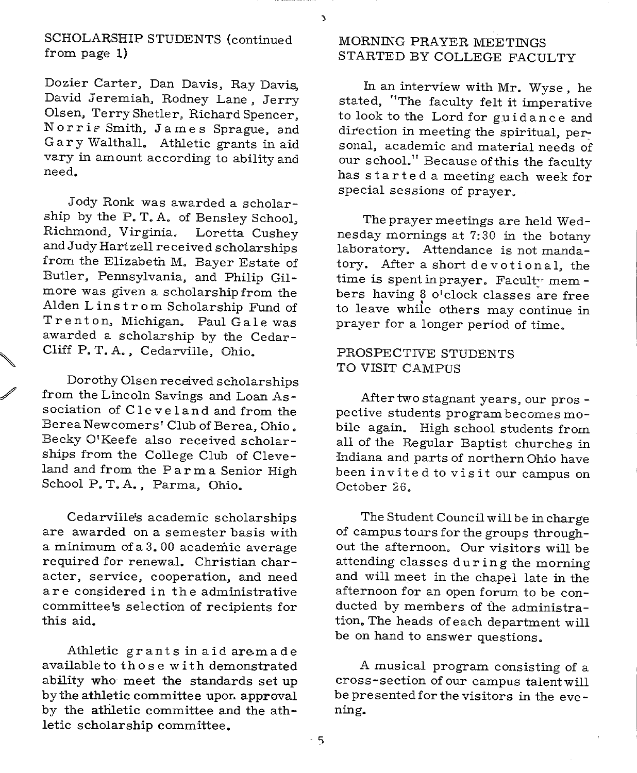$\overline{\mathbf{y}}$ 

SCHOLARSHIP STUDENTS (continued from page 1)

Dozier Carter, Dan Davis, Ray Davis, David Jeremiah, Rodney Lane, Jerry Olsen, Terry Shetler, Richard Spencer, Norris Smith, James Sprague, and G a r y Walthall. Athletic grants in aid vary in amount according to ability and need.

Jody Ronk was awarded a scholarship by the P. T. A. of Bensley School, Richmond, Virginia. Loretta Cushey and Judy Hartzell received scholarships from the Elizabeth M. Bayer Estate of Butler, Pennsylvania, and Philip Gilmore was given a scholarship from the Alden Linstrom Scholarship Fund of Trenton, Michigan. Paul Gale was awarded a scholarship by the Cedar-Cliff P. T. A., Cedarville, Ohio.

Dorothy Olsen received scholarships from the Lincoln Savings and Loan Association of Cleveland and from the Berea Newcomers' Club of Berea, Ohio. Becky O'Keefe also received scholarships from the College Club of Cleveland and from the Parma Senior High School P. T.A., Parma, Ohio.

Cedarville's academic scholarships are awarded on a semester basis with <sup>a</sup>minimum of a 3. 00 academic average required for renewal. Christian character, service, cooperation, and need are considered in the administrative committee's selection of recipients for this aid.

Athletic grants in aid aremade available to those with demonstrated ability who meet the standards set up by the athletic committee upon approval by the athletic committee and the athletic scholarship committee.

# MORNING PRAYER MEETINGS STARTED BY COLLEGE FACULTY

In an interview with Mr. Wyse, he stated, "The faculty felt it imperative to look to the Lord for guidance and direction in meeting the spiritual, personal, academic and material needs of our school." Because of this the faculty has started a meeting each week for special sessions of prayer.

The prayer meetings are held Wednesday mornings at 7:30 in the botany laboratory. Attendance is not mandatory. After a short devotional, the time is spent in prayer. Faculty mem bers having 8 o'clock classes are free to leave whiie others may continue in prayer for a longer period of time.

## PROSPECTIVE STUDENTS TO VISIT CAMPUS

After two stagnant years, our pros pective students program becomes mobile again. High school students from all of the Regular Baptist churches in Indiana and parts of northern Ohio have been invite d to vi s it our campus on October 26.

The Student Council will be in charge of campus tours for the groups throughout the afternoon. Our visitors will be attending classes during the morning and will meet in the chapel late in the afternoon for an open forum to be conducted by members of the administration. The heads of each department will be on hand to answer questions.

<sup>A</sup>musical program consisting of <sup>a</sup> cross-section of our campus talentwill be presented for the visitors in the evening.

5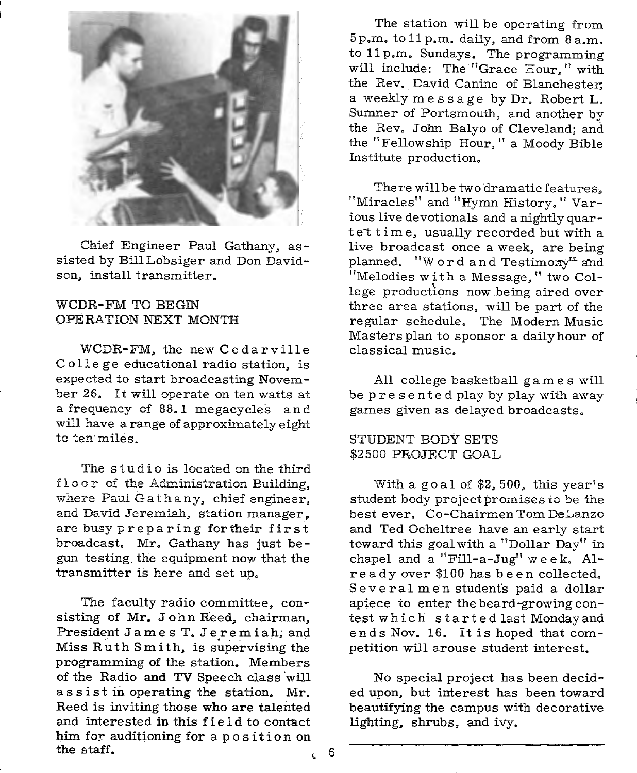

Chief Engineer Paul Gathany, assisted by BillLobsiger and Don Davidson, install transmitter.

#### WCDR-FM TO BEGIN OPERATION NEXT MONTH

WCDR-FM, the new Cedarville College educational radio station, is expected to start broadcasting November 26. It will operate on ten watts at <sup>a</sup>frequency of 88. 1 megacycles and will have <sup>a</sup>range of approximately eight to ten miles.

The studio is located on the third floor of the Administration Building, where Paul Gathany, chief engineer, and David Jeremiah, station manager, are busy preparing fortheir first broadcast. Mr. Gathany has just begun testing the equipment now that the transmitter is here and set up.

The faculty radio committee, consisting of Mr. John Reed, chairman, President James T. Jeremiah, and Miss Ruth Smith, is supervising the programming of the station. Members of the Radio and TV Speech class will assist in operating the station. Mr. Reed is inviting those who are talented and interested in this field to contact him for auditioning for a position on the staff.  $\qquad \qquad$  6

The station will be operating from 5 p.m. to 11 p.m. daily, and from 8 a.m. to 11 p.m. Sundays. The programming will include: The "Grace Hour," with the Rev. David Canine of Blanchester. <sup>a</sup>weekly message by Dr. Robert L. Sumner of Portsmouth, and another by the Rev. John Balyo of Cleveland; and the "Fellowship Hour," a Moody Bible Institute production.

There will be two dramatic features, "Miracles" and "Hymn History." Various live devotionals and a nightly quartet time, usually recorded but with a live broadcast once a week, are being planned. "Word and Testimony" and "Melodies with a Message," two College productions now being aired over three area stations, will be part of the regular schedule. The Modern Music Masters plan to sponsor a daily hour of classical music.

All college basketball games will be presented play by play with away games given as delayed broadcasts.

#### STUDENT BODY SETS \$2500 PROJECT GOAL

With <sup>a</sup>goal of \$2, 500, this year's student body project promises to be the best ever. Co-Chairmen Tom DeLanzo and Ted Ocheltree have an early start toward this goal with a "Dollar Day" in chapel and a "Fill-a-Jug"  $week$ . Alr e ad y over \$100 has b e en collected. Several men students paid a dollar apiece to enter the beard-growing con test which started last Mondayand ends Nov. 16. It is hoped that competition will arouse student interest.

No special project has been decided upon, but interest has been toward beautifying the campus with decorative lighting, shrubs, and ivy.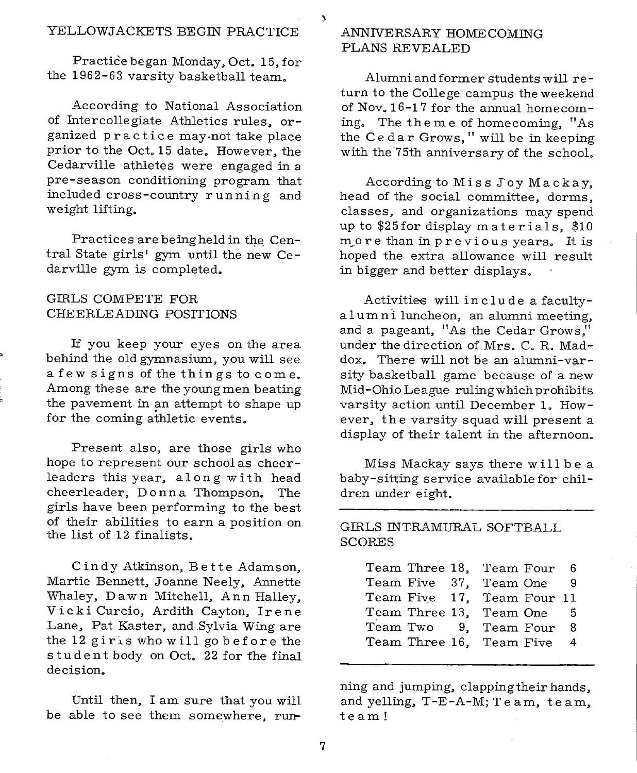Practice began Monday, Oct. 15, for the 1962-63 varsity basketball team.

According to National Association of Intercollegiate Athletics rules, organized practice may-not take place prior to the Oct. 15 date. However, the Cedarville athletes were engaged in <sup>a</sup> pre-season conditioning program that included cross-country running and weight lifting.

Practices are being held in the Central State girls' gym until the new Cedarville gym is completed.

#### GIRLS COMPETE FOR CHEERLEADING POSITIONS

If you keep your eyes on the area behind the old gymnasium, you will see a few signs of the things to come. Among these are the young men beating the pavement in an attempt to shape up for the coming athletic events.

Present also, are those girls who hope to represent our school as cheerleaders this year, along with head cheerleader, Donna Thompson. The <sup>g</sup>irls have been performing to the best of their abilities to earn <sup>a</sup>position on the list of 12 finalists.

Cindy Atkinson, Bette Adamson, Martie Bennett, Joanne Neely, Annette Whaley, Dawn Mitchell, Ann Halley, Vicki Curcio, Ardith Cayton, Irene Lane, Pat Kaster, and Sylvia Wing are the 12 girls who will go before the student body on Oct. 22 for the final decision.

Until then, I am sure that you will be able to see them somewhere, run-

#### ANNIVERSARY HOMECOMING PLANS REVEALED

Alumni and former students will re turn to the College campus the weekend of Nov. 16-17 for the annual homecoming. The theme of homecoming, "As the Cedar Grows," will be in keeping with the 75th anniversary of the school.

According to Miss Joy Mackay, head of the social committee, dorms, classes, and organizations may spend up to \$25for display materials, \$10 more than in previous years. It is hoped the extra allowance will result in bigger and better displays.

Activities will include a facultya lum n i luncheon, an alumni meeting, and a pageant, "As the Cedar Grows," under the direction of Mrs. C. R. Maddox. There will not be an alumni-varsity basketball game because of a new Mid-Ohio League rulingwhichprohibits varsity action until December 1. However, the varsity squad will present <sup>a</sup> display of their talent in the afternoon.

Miss Mackay says there will be <sup>a</sup> baby-sitting service available for children under eight.

GIRLS INTRAMURAL SOFTBALL SCORES

|  | Team Three 18, Team Four 6 |  |                |
|--|----------------------------|--|----------------|
|  | Team Five 37, Team One     |  | -9             |
|  | Team Five 17, Team Four 11 |  |                |
|  | Team Three 13, Team One 5  |  |                |
|  | Team Two 9, Team Four      |  | -8             |
|  | Team Three 16, Team Five   |  | $\overline{4}$ |

ning and jumping, clapping their hands, and yelling, T-E-A-M; Te am, team, team!